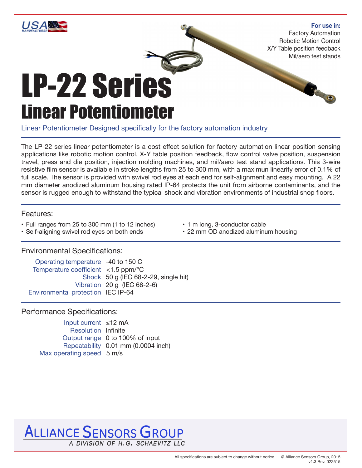

#### **For use in:**

8

Factory Automation Robotic Motion Control X/Y Table position feedback Mil/aero test stands

# LP-22 Series Linear Potentiometer

Linear Potentiometer Designed specifically for the factory automation industry

The LP-22 series linear potentiometer is a cost effect solution for factory automation linear position sensing applications like robotic motion control, X-Y table position feedback, flow control valve position, suspension travel, press and die position, injection molding machines, and mil/aero test stand applications. This 3-wire resistive film sensor is available in stroke lengths from 25 to 300 mm, with a maximun linearity error of 0.1% of full scale. The sensor is provided with swivel rod eyes at each end for self-alignment and easy mounting. A 22 mm diameter anodized aluminum housing rated IP-64 protects the unit from airborne contaminants, and the sensor is rugged enough to withstand the typical shock and vibration environments of industrial shop floors.

#### Features:

- Full ranges from 25 to 300 mm (1 to 12 inches)
- Self-aligning swivel rod eyes on both ends
- 1 m long, 3-conductor cable
- 22 mm OD anodized aluminum housing

## Environmental Specifications:

Operating temperature -40 to 150 C Temperature coefficient <1.5 ppm/°C Shock 50 g (IEC 68-2-29, single hit) Vibration 20 g (IEC 68-2-6) Environmental protection IEC IP-64

### Performance Specifications:

Input current ≤12 mA Resolution Infinite Output range 0 to 100% of input Repeatability 0.01 mm (0.0004 inch) Max operating speed 5 m/s

# **ALLIANCE SENSORS GROUP** A DIVISION OF H.G. SCHAEVITZ LLC